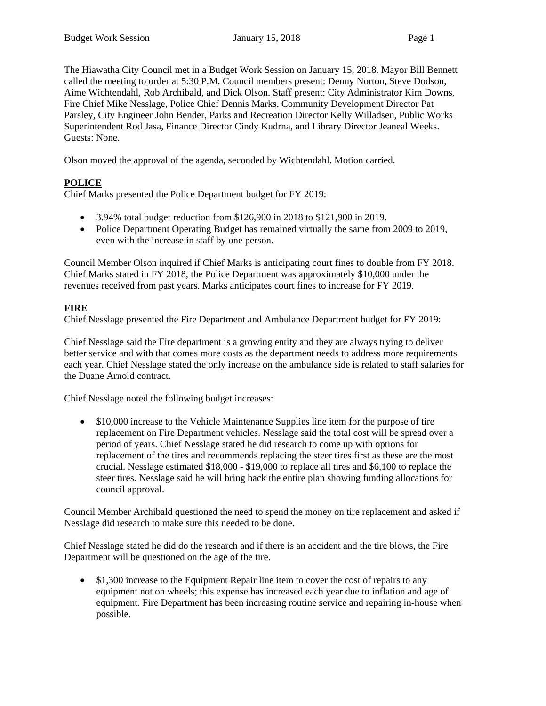The Hiawatha City Council met in a Budget Work Session on January 15, 2018. Mayor Bill Bennett called the meeting to order at 5:30 P.M. Council members present: Denny Norton, Steve Dodson, Aime Wichtendahl, Rob Archibald, and Dick Olson. Staff present: City Administrator Kim Downs, Fire Chief Mike Nesslage, Police Chief Dennis Marks, Community Development Director Pat Parsley, City Engineer John Bender, Parks and Recreation Director Kelly Willadsen, Public Works Superintendent Rod Jasa, Finance Director Cindy Kudrna, and Library Director Jeaneal Weeks. Guests: None.

Olson moved the approval of the agenda, seconded by Wichtendahl. Motion carried.

# **POLICE**

Chief Marks presented the Police Department budget for FY 2019:

- 3.94% total budget reduction from \$126,900 in 2018 to \$121,900 in 2019.
- Police Department Operating Budget has remained virtually the same from 2009 to 2019, even with the increase in staff by one person.

Council Member Olson inquired if Chief Marks is anticipating court fines to double from FY 2018. Chief Marks stated in FY 2018, the Police Department was approximately \$10,000 under the revenues received from past years. Marks anticipates court fines to increase for FY 2019.

# **FIRE**

Chief Nesslage presented the Fire Department and Ambulance Department budget for FY 2019:

Chief Nesslage said the Fire department is a growing entity and they are always trying to deliver better service and with that comes more costs as the department needs to address more requirements each year. Chief Nesslage stated the only increase on the ambulance side is related to staff salaries for the Duane Arnold contract.

Chief Nesslage noted the following budget increases:

• \$10,000 increase to the Vehicle Maintenance Supplies line item for the purpose of tire replacement on Fire Department vehicles. Nesslage said the total cost will be spread over a period of years. Chief Nesslage stated he did research to come up with options for replacement of the tires and recommends replacing the steer tires first as these are the most crucial. Nesslage estimated \$18,000 - \$19,000 to replace all tires and \$6,100 to replace the steer tires. Nesslage said he will bring back the entire plan showing funding allocations for council approval.

Council Member Archibald questioned the need to spend the money on tire replacement and asked if Nesslage did research to make sure this needed to be done.

Chief Nesslage stated he did do the research and if there is an accident and the tire blows, the Fire Department will be questioned on the age of the tire.

 \$1,300 increase to the Equipment Repair line item to cover the cost of repairs to any equipment not on wheels; this expense has increased each year due to inflation and age of equipment. Fire Department has been increasing routine service and repairing in-house when possible.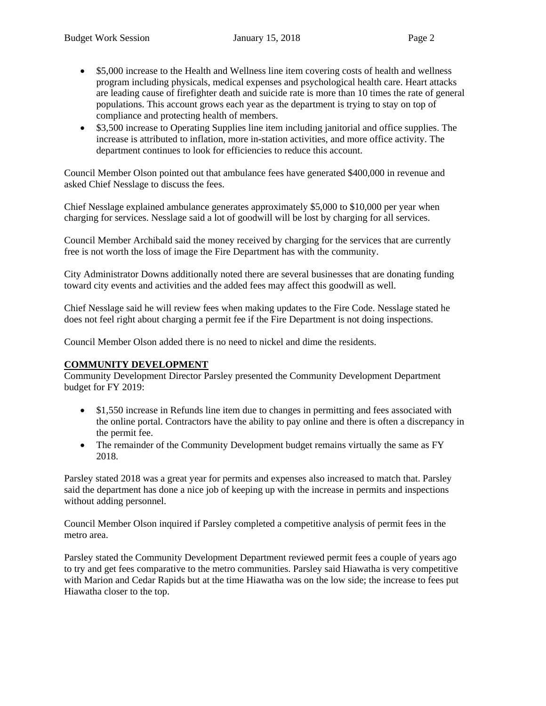- \$5,000 increase to the Health and Wellness line item covering costs of health and wellness program including physicals, medical expenses and psychological health care. Heart attacks are leading cause of firefighter death and suicide rate is more than 10 times the rate of general populations. This account grows each year as the department is trying to stay on top of compliance and protecting health of members.
- \$3,500 increase to Operating Supplies line item including janitorial and office supplies. The increase is attributed to inflation, more in-station activities, and more office activity. The department continues to look for efficiencies to reduce this account.

Council Member Olson pointed out that ambulance fees have generated \$400,000 in revenue and asked Chief Nesslage to discuss the fees.

Chief Nesslage explained ambulance generates approximately \$5,000 to \$10,000 per year when charging for services. Nesslage said a lot of goodwill will be lost by charging for all services.

Council Member Archibald said the money received by charging for the services that are currently free is not worth the loss of image the Fire Department has with the community.

City Administrator Downs additionally noted there are several businesses that are donating funding toward city events and activities and the added fees may affect this goodwill as well.

Chief Nesslage said he will review fees when making updates to the Fire Code. Nesslage stated he does not feel right about charging a permit fee if the Fire Department is not doing inspections.

Council Member Olson added there is no need to nickel and dime the residents.

#### **COMMUNITY DEVELOPMENT**

Community Development Director Parsley presented the Community Development Department budget for FY 2019:

- \$1,550 increase in Refunds line item due to changes in permitting and fees associated with the online portal. Contractors have the ability to pay online and there is often a discrepancy in the permit fee.
- The remainder of the Community Development budget remains virtually the same as FY 2018.

Parsley stated 2018 was a great year for permits and expenses also increased to match that. Parsley said the department has done a nice job of keeping up with the increase in permits and inspections without adding personnel.

Council Member Olson inquired if Parsley completed a competitive analysis of permit fees in the metro area.

Parsley stated the Community Development Department reviewed permit fees a couple of years ago to try and get fees comparative to the metro communities. Parsley said Hiawatha is very competitive with Marion and Cedar Rapids but at the time Hiawatha was on the low side; the increase to fees put Hiawatha closer to the top.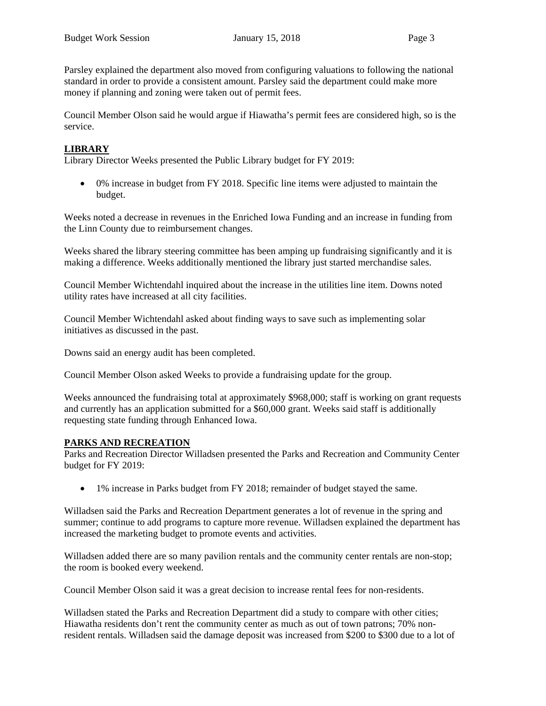Parsley explained the department also moved from configuring valuations to following the national standard in order to provide a consistent amount. Parsley said the department could make more money if planning and zoning were taken out of permit fees.

Council Member Olson said he would argue if Hiawatha's permit fees are considered high, so is the service.

### **LIBRARY**

Library Director Weeks presented the Public Library budget for FY 2019:

 0% increase in budget from FY 2018. Specific line items were adjusted to maintain the budget.

Weeks noted a decrease in revenues in the Enriched Iowa Funding and an increase in funding from the Linn County due to reimbursement changes.

Weeks shared the library steering committee has been amping up fundraising significantly and it is making a difference. Weeks additionally mentioned the library just started merchandise sales.

Council Member Wichtendahl inquired about the increase in the utilities line item. Downs noted utility rates have increased at all city facilities.

Council Member Wichtendahl asked about finding ways to save such as implementing solar initiatives as discussed in the past.

Downs said an energy audit has been completed.

Council Member Olson asked Weeks to provide a fundraising update for the group.

Weeks announced the fundraising total at approximately \$968,000; staff is working on grant requests and currently has an application submitted for a \$60,000 grant. Weeks said staff is additionally requesting state funding through Enhanced Iowa.

#### **PARKS AND RECREATION**

Parks and Recreation Director Willadsen presented the Parks and Recreation and Community Center budget for FY 2019:

1% increase in Parks budget from FY 2018; remainder of budget stayed the same.

Willadsen said the Parks and Recreation Department generates a lot of revenue in the spring and summer; continue to add programs to capture more revenue. Willadsen explained the department has increased the marketing budget to promote events and activities.

Willadsen added there are so many pavilion rentals and the community center rentals are non-stop; the room is booked every weekend.

Council Member Olson said it was a great decision to increase rental fees for non-residents.

Willadsen stated the Parks and Recreation Department did a study to compare with other cities; Hiawatha residents don't rent the community center as much as out of town patrons; 70% nonresident rentals. Willadsen said the damage deposit was increased from \$200 to \$300 due to a lot of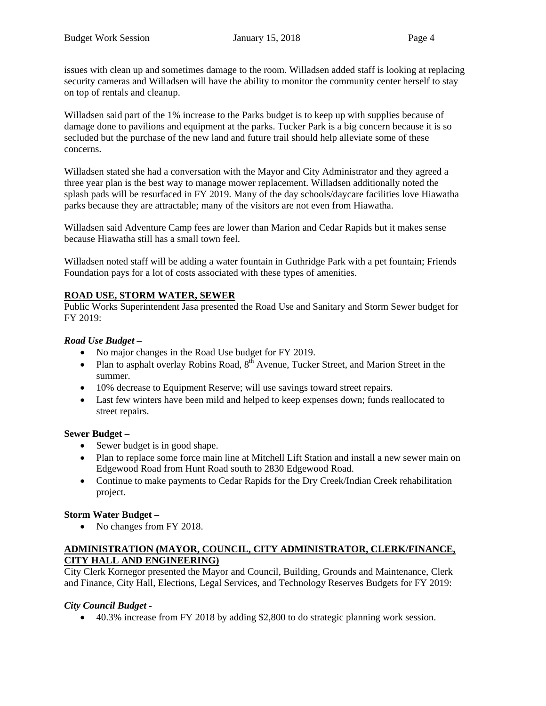issues with clean up and sometimes damage to the room. Willadsen added staff is looking at replacing security cameras and Willadsen will have the ability to monitor the community center herself to stay on top of rentals and cleanup.

Willadsen said part of the 1% increase to the Parks budget is to keep up with supplies because of damage done to pavilions and equipment at the parks. Tucker Park is a big concern because it is so secluded but the purchase of the new land and future trail should help alleviate some of these concerns.

Willadsen stated she had a conversation with the Mayor and City Administrator and they agreed a three year plan is the best way to manage mower replacement. Willadsen additionally noted the splash pads will be resurfaced in FY 2019. Many of the day schools/daycare facilities love Hiawatha parks because they are attractable; many of the visitors are not even from Hiawatha.

Willadsen said Adventure Camp fees are lower than Marion and Cedar Rapids but it makes sense because Hiawatha still has a small town feel.

Willadsen noted staff will be adding a water fountain in Guthridge Park with a pet fountain; Friends Foundation pays for a lot of costs associated with these types of amenities.

# **ROAD USE, STORM WATER, SEWER**

Public Works Superintendent Jasa presented the Road Use and Sanitary and Storm Sewer budget for FY 2019:

# *Road Use Budget –*

- No major changes in the Road Use budget for FY 2019.
- Plan to asphalt overlay Robins Road,  $8<sup>th</sup>$  Avenue, Tucker Street, and Marion Street in the summer.
- 10% decrease to Equipment Reserve; will use savings toward street repairs.
- Last few winters have been mild and helped to keep expenses down; funds reallocated to street repairs.

# **Sewer Budget –**

- Sewer budget is in good shape.
- Plan to replace some force main line at Mitchell Lift Station and install a new sewer main on Edgewood Road from Hunt Road south to 2830 Edgewood Road.
- Continue to make payments to Cedar Rapids for the Dry Creek/Indian Creek rehabilitation project.

# **Storm Water Budget –**

• No changes from FY 2018.

# **ADMINISTRATION (MAYOR, COUNCIL, CITY ADMINISTRATOR, CLERK/FINANCE, CITY HALL AND ENGINEERING)**

City Clerk Kornegor presented the Mayor and Council, Building, Grounds and Maintenance, Clerk and Finance, City Hall, Elections, Legal Services, and Technology Reserves Budgets for FY 2019:

# *City Council Budget -*

40.3% increase from FY 2018 by adding \$2,800 to do strategic planning work session.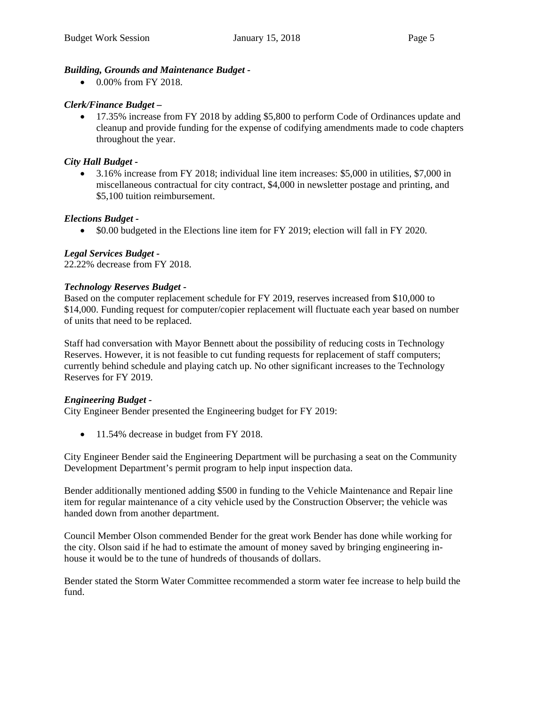### *Building, Grounds and Maintenance Budget -*

• 0.00% from FY 2018.

### *Clerk/Finance Budget –*

 17.35% increase from FY 2018 by adding \$5,800 to perform Code of Ordinances update and cleanup and provide funding for the expense of codifying amendments made to code chapters throughout the year.

### *City Hall Budget -*

 3.16% increase from FY 2018; individual line item increases: \$5,000 in utilities, \$7,000 in miscellaneous contractual for city contract, \$4,000 in newsletter postage and printing, and \$5,100 tuition reimbursement.

### *Elections Budget -*

\$0.00 budgeted in the Elections line item for FY 2019; election will fall in FY 2020.

### *Legal Services Budget -*

22.22% decrease from FY 2018.

### *Technology Reserves Budget -*

Based on the computer replacement schedule for FY 2019, reserves increased from \$10,000 to \$14,000. Funding request for computer/copier replacement will fluctuate each year based on number of units that need to be replaced.

Staff had conversation with Mayor Bennett about the possibility of reducing costs in Technology Reserves. However, it is not feasible to cut funding requests for replacement of staff computers; currently behind schedule and playing catch up. No other significant increases to the Technology Reserves for FY 2019.

#### *Engineering Budget -*

City Engineer Bender presented the Engineering budget for FY 2019:

• 11.54% decrease in budget from FY 2018.

City Engineer Bender said the Engineering Department will be purchasing a seat on the Community Development Department's permit program to help input inspection data.

Bender additionally mentioned adding \$500 in funding to the Vehicle Maintenance and Repair line item for regular maintenance of a city vehicle used by the Construction Observer; the vehicle was handed down from another department.

Council Member Olson commended Bender for the great work Bender has done while working for the city. Olson said if he had to estimate the amount of money saved by bringing engineering inhouse it would be to the tune of hundreds of thousands of dollars.

Bender stated the Storm Water Committee recommended a storm water fee increase to help build the fund.